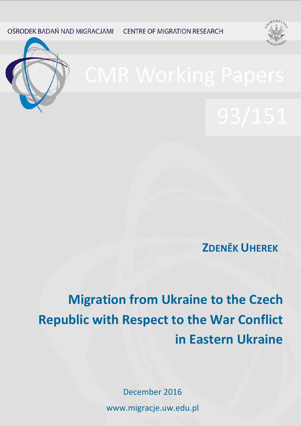OŚRODEK BADAŃ NAD MIGRACJAMI **CENTRE OF MIGRATION RESEARCH** 





**ZDENĚK UHEREK**

**Migration from Ukraine to the Czech Republic with Respect to the War Conflict in Eastern Ukraine**

> December 2016 www.migracje.uw.edu.pl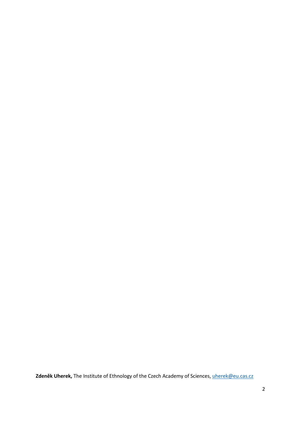**Zdeněk Uherek,** The Institute of Ethnology of the Czech Academy of Sciences, [uherek@eu.cas.cz](mailto:uherek@eu.cas.cz)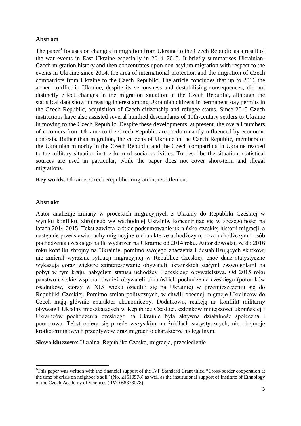## **Abstract**

The paper<sup>[1](#page-2-0)</sup> focuses on changes in migration from Ukraine to the Czech Republic as a result of the war events in East Ukraine especially in 2014–2015. It briefly summarises Ukrainian-Czech migration history and then concentrates upon non-asylum migration with respect to the events in Ukraine since 2014, the area of international protection and the migration of Czech compatriots from Ukraine to the Czech Republic. The article concludes that up to 2016 the armed conflict in Ukraine, despite its seriousness and destabilising consequences, did not distinctly effect changes in the migration situation in the Czech Republic, although the statistical data show increasing interest among Ukrainian citizens in permanent stay permits in the Czech Republic, acquisition of Czech citizenship and refugee status. Since 2015 Czech institutions have also assisted several hundred descendants of 19th-century settlers to Ukraine in moving to the Czech Republic. Despite these developments, at present, the overall numbers of incomers from Ukraine to the Czech Republic are predominantly influenced by economic contexts. Rather than migration, the citizens of Ukraine in the Czech Republic, members of the Ukrainian minority in the Czech Republic and the Czech compatriots in Ukraine reacted to the military situation in the form of social activities. To describe the situation, statistical sources are used in particular, while the paper does not cover short-term and illegal migrations.

**Key words**: Ukraine, Czech Republic, migration, resettlement

## **Abstrakt**

Autor analizuje zmiany w procesach migracyjnych z Ukrainy do Republiki Czeskiej w wyniku konfliktu zbrojnego we wschodniej Ukrainie, koncentrując się w szczególności na latach 2014-2015. Tekst zawiera krótkie podsumowanie ukraińsko-czeskiej historii migracji, a następnie przedstawia ruchy migracyjne o charakterze uchodźczym, poza uchodźczym i osób pochodzenia czeskiego na tle wydarzeń na Ukrainie od 2014 roku. Autor dowodzi, że do 2016 roku konflikt zbrojny na Ukrainie, pomimo swojego znaczenia i destabilizujących skutków, nie zmienił wyraźnie sytuacji migracyjnej w Republice Czeskiej, choć dane statystyczne wykazują coraz większe zainteresowanie obywateli ukraińskich stałymi zezwoleniami na pobyt w tym kraju, nabyciem statusu uchodźcy i czeskiego obywatelstwa. Od 2015 roku państwo czeskie wspiera również obywateli ukraińskich pochodzenia czeskiego (potomków osadników, którzy w XIX wieku osiedlili się na Ukrainie) w przemieszczeniu się do Republiki Czeskiej. Pomimo zmian politycznych, w chwili obecnej migracje Ukraińców do Czech mają głównie charakter ekonomiczny. Dodatkowo, reakcją na konflikt militarny obywateli Ukrainy mieszkających w Republice Czeskiej, członków mniejszości ukraińskiej i Ukraińców pochodzenia czeskiego na Ukrainie była aktywna działalność społeczna i pomocowa. Tekst opiera się przede wszystkim na źródłach statystycznych, nie obejmuje krótkoterminowych przepływów oraz migracji o charakterze nielegalnym.

**Słowa kluczowe**: Ukraina, Republika Czeska, migracja, przesiedlenie

<span id="page-2-0"></span> $\frac{1}{1}$ <sup>1</sup>This paper was written with the financial support of the IVF Standard Grant titled "Cross-border cooperation at the time of crisis on neighbor's soil" (No. 21510578) as well as the institutional support of Institute of Ethnology of the Czech Academy of Sciences (RVO 68378078).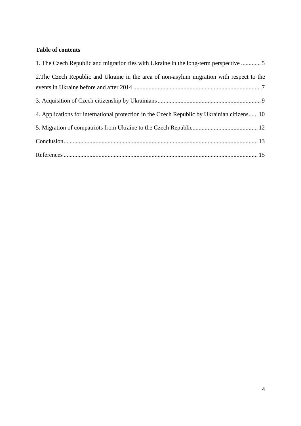# **Table of contents**

| 1. The Czech Republic and migration ties with Ukraine in the long-term perspective 5        |
|---------------------------------------------------------------------------------------------|
| 2. The Czech Republic and Ukraine in the area of non-asylum migration with respect to the   |
|                                                                                             |
|                                                                                             |
| 4. Applications for international protection in the Czech Republic by Ukrainian citizens 10 |
|                                                                                             |
|                                                                                             |
|                                                                                             |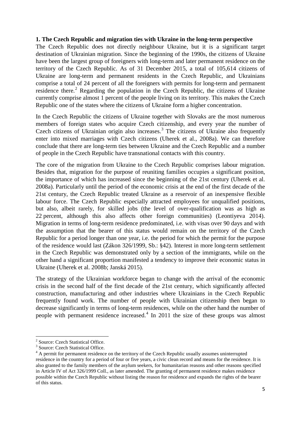## <span id="page-4-0"></span>**1. The Czech Republic and migration ties with Ukraine in the long-term perspective**

The Czech Republic does not directly neighbour Ukraine, but it is a significant target destination of Ukrainian migration. Since the beginning of the 1990s, the citizens of Ukraine have been the largest group of foreigners with long-term and later permanent residence on the territory of the Czech Republic. As of 31 December 2015, a total of 105,614 citizens of Ukraine are long-term and permanent residents in the Czech Republic, and Ukrainians comprise a total of 24 percent of all the foreigners with permits for long-term and permanent residence there.<sup>[2](#page-4-1)</sup> Regarding the population in the Czech Republic, the citizens of Ukraine currently comprise almost 1 percent of the people living on its territory. This makes the Czech Republic one of the states where the citizens of Ukraine form a higher concentration.

In the Czech Republic the citizens of Ukraine together with Slovaks are the most numerous members of foreign states who acquire Czech citizenship, and every year the number of Czech citizens of Ukrainian origin also increases.<sup>[3](#page-4-2)</sup> The citizens of Ukraine also frequently enter into mixed marriages with Czech citizens (Uherek et al., 2008a). We can therefore conclude that there are long-term ties between Ukraine and the Czech Republic and a number of people in the Czech Republic have transnational contacts with this country.

The core of the migration from Ukraine to the Czech Republic comprises labour migration. Besides that, migration for the purpose of reuniting families occupies a significant position, the importance of which has increased since the beginning of the 21st century (Uherek et al. 2008a). Particularly until the period of the economic crisis at the end of the first decade of the 21st century, the Czech Republic treated Ukraine as a reservoir of an inexpensive flexible labour force. The Czech Republic especially attracted employees for unqualified positions, but also, albeit rarely, for skilled jobs (the level of over-qualification was as high as 22 percent, although this also affects other foreign communities) (Leontiyeva 2014). Migration in terms of long-term residence predominated, i.e. with visas over 90 days and with the assumption that the bearer of this status would remain on the territory of the Czech Republic for a period longer than one year, i.e. the period for which the permit for the purpose of the residence would last (Zákon 326/1999, Sb.: §42). Interest in more long-term settlement in the Czech Republic was demonstrated only by a section of the immigrants, while on the other hand a significant proportion manifested a tendency to improve their economic status in Ukraine (Uherek et al. 2008b; Janská 2015).

The strategy of the Ukrainian workforce began to change with the arrival of the economic crisis in the second half of the first decade of the 21st century, which significantly affected construction, manufacturing and other industries where Ukrainians in the Czech Republic frequently found work. The number of people with Ukrainian citizenship then began to decrease significantly in terms of long-term residences, while on the other hand the number of people with permanent residence increased.<sup>[4](#page-4-3)</sup> In 2011 the size of these groups was almost

<span id="page-4-1"></span> $\frac{2}{3}$  Source: Czech Statistical Office.<br> $\frac{3}{3}$  Source: Czech Statistical Office.

<span id="page-4-3"></span><span id="page-4-2"></span> $<sup>4</sup>$  A permit for permanent residence on the territory of the Czech Republic usually assumes uninterrupted</sup> residence in the country for a period of four or five years, a civic clean record and means for the residence. It is also granted to the family members of the asylum seekers, for humanitarian reasons and other reasons specified in Article IV of Act 326/1999 Coll., as later amended. The granting of permanent residence makes residence possible within the Czech Republic without listing the reason for residence and expands the rights of the bearer of this status.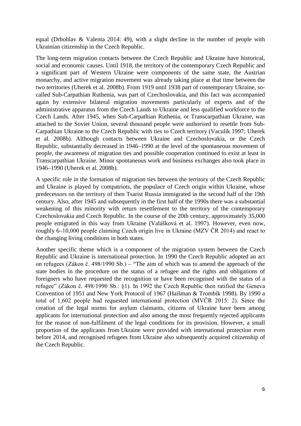equal (Drbohlav & Valenta 2014: 49), with a slight decline in the number of people with Ukrainian citizenship in the Czech Republic.

The long-term migration contacts between the Czech Republic and Ukraine have historical, social and economic causes. Until 1918, the territory of the contemporary Czech Republic and a significant part of Western Ukraine were components of the same state, the Austrian monarchy, and active migration movement was already taking place at that time between the two territories (Uherek et al. 2008b). From 1919 until 1938 part of contemporary Ukraine, socalled Sub-Carpathian Ruthenia, was part of Czechoslovakia, and this fact was accompanied again by extensive bilateral migration movements particularly of experts and of the administrative apparatus from the Czech Lands to Ukraine and less qualified workforce to the Czech Lands. After 1945, when Sub-Carpathian Ruthenia, or Transcarpathian Ukraine, was attached to the Soviet Union, several thousand people were authorised to resettle from Sub-Carpathian Ukraine to the Czech Republic with ties to Czech territory (Vaculík 1997; Uherek et al. 2008b). Although contacts between Ukraine and Czechoslovakia, or the Czech Republic, substantially decreased in 1946–1990 at the level of the spontaneous movement of people, the awareness of migration ties and possible cooperation continued to exist at least in Transcarpathian Ukraine. Minor spontaneous work and business exchanges also took place in 1946–1990 (Uherek et al. 2008b).

A specific role in the formation of migration ties between the territory of the Czech Republic and Ukraine is played by compatriots, the populace of Czech origin within Ukraine, whose predecessors on the territory of then Tsarist Russia immigrated in the second half of the 19th century. Also, after 1945 and subsequently in the first half of the 1990s there was a substantial weakening of this minority with return resettlement to the territory of the contemporary Czechoslovakia and Czech Republic. In the course of the 20th century, approximately 35,000 people emigrated in this way from Ukraine (Valášková et al. 1997). However, even now, roughly 6–10,000 people claiming Czech origin live in Ukraine (MZV ČR 2014) and react to the changing living conditions in both states.

Another specific theme which is a component of the migration system between the Czech Republic and Ukraine is international protection. In 1990 the Czech Republic adopted an act on refugees (Zákon č. 498/1990 Sb.) – "The aim of which was to amend the approach of the state bodies in the procedure on the status of a refugee and the rights and obligations of foreigners who have requested the recognition or have been recognised with the status of a refugee" (Zákon č. 498/1990 Sb.: §1). In 1992 the Czech Republic then ratified the Geneva Convention of 1951 and New York Protocol of 1967 (Haišman & Trombík 1998). By 1990 a total of 1,602 people had requested international protection (MVČR 2015: 2). Since the creation of the legal norms for asylum claimants, citizens of Ukraine have been among applicants for international protection and also among the most frequently rejected applicants for the reason of non-fulfilment of the legal conditions for its provision. However, a small proportion of the applicants from Ukraine were provided with international protection even before 2014, and recognised refugees from Ukraine also subsequently acquired citizenship of the Czech Republic.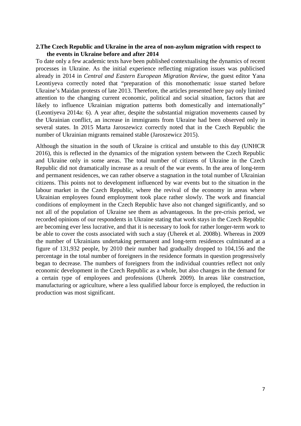#### <span id="page-6-0"></span>**2.The Czech Republic and Ukraine in the area of non-asylum migration with respect to the events in Ukraine before and after 2014**

To date only a few academic texts have been published contextualising the dynamics of recent processes in Ukraine. As the initial experience reflecting migration issues was publicised already in 2014 in *Central and Eastern European Migration Review*, the guest editor Yana Leontiyeva correctly noted that "preparation of this monothematic issue started before Ukraine's Maidan protests of late 2013. Therefore, the articles presented here pay only limited attention to the changing current economic, political and social situation, factors that are likely to influence Ukrainian migration patterns both domestically and internationally" (Leontiyeva 2014a: 6). A year after, despite the substantial migration movements caused by the Ukrainian conflict, an increase in immigrants from Ukraine had been observed only in several states. In 2015 Marta Jaroszewicz correctly noted that in the Czech Republic the number of Ukrainian migrants remained stable (Jaroszewicz 2015).

Although the situation in the south of Ukraine is critical and unstable to this day (UNHCR 2016), this is reflected in the dynamics of the migration system between the Czech Republic and Ukraine only in some areas. The total number of citizens of Ukraine in the Czech Republic did not dramatically increase as a result of the war events. In the area of long-term and permanent residences, we can rather observe a stagnation in the total number of Ukrainian citizens. This points not to development influenced by war events but to the situation in the labour market in the Czech Republic, where the revival of the economy in areas where Ukrainian employees found employment took place rather slowly. The work and financial conditions of employment in the Czech Republic have also not changed significantly, and so not all of the population of Ukraine see them as advantageous. In the pre-crisis period, we recorded opinions of our respondents in Ukraine stating that work stays in the Czech Republic are becoming ever less lucrative, and that it is necessary to look for rather longer-term work to be able to cover the costs associated with such a stay (Uherek et al. 2008b). Whereas in 2009 the number of Ukrainians undertaking permanent and long-term residences culminated at a figure of 131,932 people, by 2010 their number had gradually dropped to 104,156 and the percentage in the total number of foreigners in the residence formats in question progressively began to decrease. The numbers of foreigners from the individual countries reflect not only economic development in the Czech Republic as a whole, but also changes in the demand for a certain type of employees and professions (Uherek 2009). In areas like construction, manufacturing or agriculture, where a less qualified labour force is employed, the reduction in production was most significant.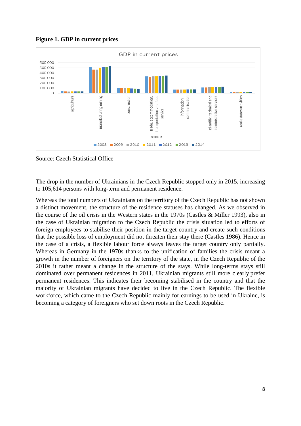**Figure 1. GDP in current prices**



Source: Czech Statistical Office

The drop in the number of Ukrainians in the Czech Republic stopped only in 2015, increasing to 105,614 persons with long-term and permanent residence.

Whereas the total numbers of Ukrainians on the territory of the Czech Republic has not shown a distinct movement, the structure of the residence statuses has changed. As we observed in the course of the oil crisis in the Western states in the 1970s (Castles & Miller 1993), also in the case of Ukrainian migration to the Czech Republic the crisis situation led to efforts of foreign employees to stabilise their position in the target country and create such conditions that the possible loss of employment did not threaten their stay there (Castles 1986). Hence in the case of a crisis, a flexible labour force always leaves the target country only partially. Whereas in Germany in the 1970s thanks to the unification of families the crisis meant a growth in the number of foreigners on the territory of the state, in the Czech Republic of the 2010s it rather meant a change in the structure of the stays. While long-terms stays still dominated over permanent residences in 2011, Ukrainian migrants still more clearly prefer permanent residences. This indicates their becoming stabilised in the country and that the majority of Ukrainian migrants have decided to live in the Czech Republic. The flexible workforce, which came to the Czech Republic mainly for earnings to be used in Ukraine, is becoming a category of foreigners who set down roots in the Czech Republic.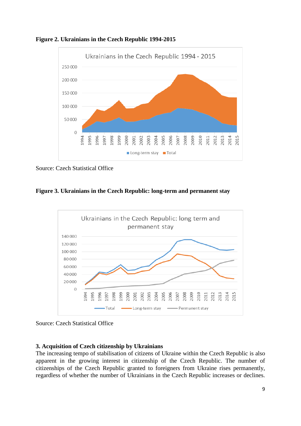

**Figure 2. Ukrainians in the Czech Republic 1994-2015**

Source: Czech Statistical Office

**Figure 3. Ukrainians in the Czech Republic: long-term and permanent stay**



Source: Czech Statistical Office

## <span id="page-8-0"></span>**3. Acquisition of Czech citizenship by Ukrainians**

The increasing tempo of stabilisation of citizens of Ukraine within the Czech Republic is also apparent in the growing interest in citizenship of the Czech Republic. The number of citizenships of the Czech Republic granted to foreigners from Ukraine rises permanently, regardless of whether the number of Ukrainians in the Czech Republic increases or declines.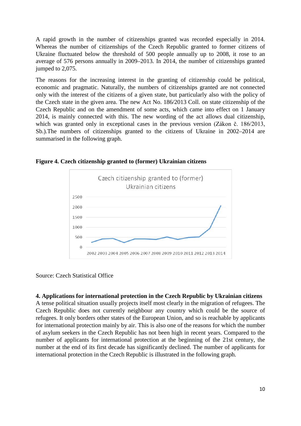A rapid growth in the number of citizenships granted was recorded especially in 2014. Whereas the number of citizenships of the Czech Republic granted to former citizens of Ukraine fluctuated below the threshold of 500 people annually up to 2008, it rose to an average of 576 persons annually in 2009–2013. In 2014, the number of citizenships granted jumped to 2,075.

The reasons for the increasing interest in the granting of citizenship could be political, economic and pragmatic. Naturally, the numbers of citizenships granted are not connected only with the interest of the citizens of a given state, but particularly also with the policy of the Czech state in the given area. The new Act No. 186/2013 Coll. on state citizenship of the Czech Republic and on the amendment of some acts, which came into effect on 1 January 2014, is mainly connected with this. The new wording of the act allows dual citizenship, which was granted only in exceptional cases in the previous version (Zákon č. 186/2013, Sb.).The numbers of citizenships granted to the citizens of Ukraine in 2002–2014 are summarised in the following graph.



**Figure 4. Czech citizenship granted to (former) Ukrainian citizens** 

Source: Czech Statistical Office

## <span id="page-9-0"></span>**4. Applications for international protection in the Czech Republic by Ukrainian citizens**

A tense political situation usually projects itself most clearly in the migration of refugees. The Czech Republic does not currently neighbour any country which could be the source of refugees. It only borders other states of the European Union, and so is reachable by applicants for international protection mainly by air. This is also one of the reasons for which the number of asylum seekers in the Czech Republic has not been high in recent years. Compared to the number of applicants for international protection at the beginning of the 21st century, the number at the end of its first decade has significantly declined. The number of applicants for international protection in the Czech Republic is illustrated in the following graph.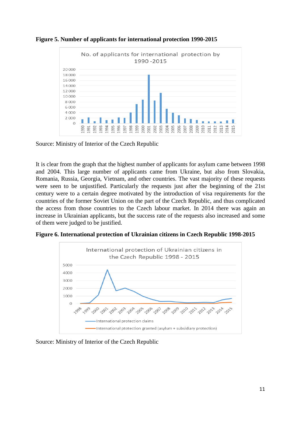

**Figure 5. Number of applicants for international protection 1990-2015**

Source: Ministry of Interior of the Czech Republic

It is clear from the graph that the highest number of applicants for asylum came between 1998 and 2004. This large number of applicants came from Ukraine, but also from Slovakia, Romania, Russia, Georgia, Vietnam, and other countries. The vast majority of these requests were seen to be unjustified. Particularly the requests just after the beginning of the 21st century were to a certain degree motivated by the introduction of visa requirements for the countries of the former Soviet Union on the part of the Czech Republic, and thus complicated the access from those countries to the Czech labour market. In 2014 there was again an increase in Ukrainian applicants, but the success rate of the requests also increased and some of them were judged to be justified.

**Figure 6. International protection of Ukrainian citizens in Czech Republic 1998-2015** 



Source: Ministry of Interior of the Czech Republic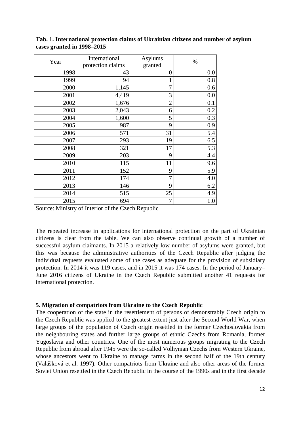| Year | International     | Asylums        | $\%$ |
|------|-------------------|----------------|------|
|      | protection claims | granted        |      |
| 1998 | 43                | 0              | 0.0  |
| 1999 | 94                | 1              | 0.8  |
| 2000 | 1,145             | 7              | 0.6  |
| 2001 | 4,419             | 3              | 0.0  |
| 2002 | 1,676             | $\overline{2}$ | 0.1  |
| 2003 | 2,043             | 6              | 0.2  |
| 2004 | 1,600             | 5              | 0.3  |
| 2005 | 987               | 9              | 0.9  |
| 2006 | 571               | 31             | 5.4  |
| 2007 | 293               | 19             | 6.5  |
| 2008 | 321               | 17             | 5.3  |
| 2009 | 203               | 9              | 4.4  |
| 2010 | 115               | 11             | 9.6  |
| 2011 | 152               | 9              | 5.9  |
| 2012 | 174               | $\overline{7}$ | 4.0  |
| 2013 | 146               | 9              | 6.2  |
| 2014 | 515               | 25             | 4.9  |
| 2015 | 694               | $\overline{7}$ | 1.0  |

**Tab. 1. International protection claims of Ukrainian citizens and number of asylum cases granted in 1998–2015**

Source: Ministry of Interior of the Czech Republic

The repeated increase in applications for international protection on the part of Ukrainian citizens is clear from the table. We can also observe continual growth of a number of successful asylum claimants. In 2015 a relatively low number of asylums were granted, but this was because the administrative authorities of the Czech Republic after judging the individual requests evaluated some of the cases as adequate for the provision of subsidiary protection. In 2014 it was 119 cases, and in 2015 it was 174 cases. In the period of January– June 2016 citizens of Ukraine in the Czech Republic submitted another 41 requests for international protection.

#### <span id="page-11-0"></span>**5. Migration of compatriots from Ukraine to the Czech Republic**

The cooperation of the state in the resettlement of persons of demonstrably Czech origin to the Czech Republic was applied to the greatest extent just after the Second World War, when large groups of the population of Czech origin resettled in the former Czechoslovakia from the neighbouring states and further large groups of ethnic Czechs from Romania, former Yugoslavia and other countries. One of the most numerous groups migrating to the Czech Republic from abroad after 1945 were the so-called Volhynian Czechs from Western Ukraine, whose ancestors went to Ukraine to manage farms in the second half of the 19th century (Valášková et al. 1997). Other compatriots from Ukraine and also other areas of the former Soviet Union resettled in the Czech Republic in the course of the 1990s and in the first decade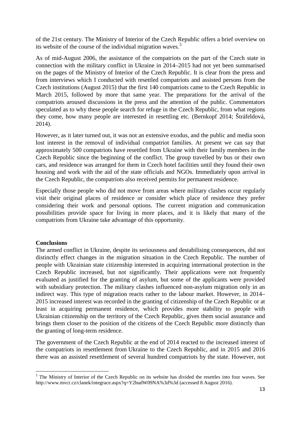of the 21st century. The Ministry of Interior of the Czech Republic offers a brief overview on its website of the course of the individual migration waves.<sup>[5](#page-12-1)</sup>

As of mid-August 2006, the assistance of the compatriots on the part of the Czech state in connection with the military conflict in Ukraine in 2014–2015 had not yet been summarised on the pages of the Ministry of Interior of the Czech Republic. It is clear from the press and from interviews which I conducted with resettled compatriots and assisted persons from the Czech institutions (August 2015) that the first 140 compatriots came to the Czech Republic in March 2015, followed by more that same year. The preparations for the arrival of the compatriots aroused discussions in the press and the attention of the public. Commentators speculated as to why these people search for refuge in the Czech Republic, from what regions they come, how many people are interested in resettling etc. (Bernkopf 2014; Štráfeldová, 2014).

However, as it later turned out, it was not an extensive exodus, and the public and media soon lost interest in the removal of individual compatriot families. At present we can say that approximately 500 compatriots have resettled from Ukraine with their family members in the Czech Republic since the beginning of the conflict. The group travelled by bus or their own cars, and residence was arranged for them in Czech hotel facilities until they found their own housing and work with the aid of the state officials and NGOs. Immediately upon arrival in the Czech Republic, the compatriots also received permits for permanent residence.

Especially those people who did not move from areas where military clashes occur regularly visit their original places of residence or consider which place of residence they prefer considering their work and personal options. The current migration and communication possibilities provide space for living in more places, and it is likely that many of the compatriots from Ukraine take advantage of this opportunity.

#### <span id="page-12-0"></span>**Conclusions**

The armed conflict in Ukraine, despite its seriousness and destabilising consequences, did not distinctly effect changes in the migration situation in the Czech Republic. The number of people with Ukrainian state citizenship interested in acquiring international protection in the Czech Republic increased, but not significantly. Their applications were not frequently evaluated as justified for the granting of asylum, but some of the applicants were provided with subsidiary protection. The military clashes influenced non-asylum migration only in an indirect way. This type of migration reacts rather to the labour market. However, in 2014– 2015 increased interest was recorded in the granting of citizenship of the Czech Republic or at least in acquiring permanent residence, which provides more stability to people with Ukrainian citizenship on the territory of the Czech Republic, gives them social assurance and brings them closer to the position of the citizens of the Czech Republic more distinctly than the granting of long-term residence.

The government of the Czech Republic at the end of 2014 reacted to the increased interest of the compatriots in resettlement from Ukraine to the Czech Republic, and in 2015 and 2016 there was an assisted resettlement of several hundred compatriots by the state. However, not

<span id="page-12-1"></span><sup>&</sup>lt;sup>5</sup> The Ministry of Interior of the Czech Republic on its website has divided the resettles into four waves. See http://www.mvcr.cz/clanek/integrace.aspx?q=Y2hudW09NA%3d%3d (accessed 8 August 2016).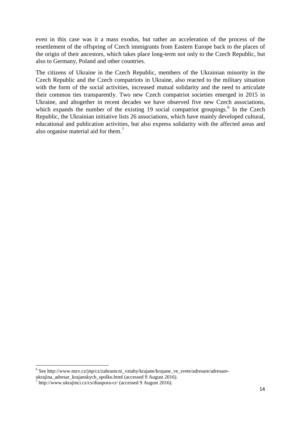even in this case was it a mass exodus, but rather an acceleration of the process of the resettlement of the offspring of Czech immigrants from Eastern Europe back to the places of the origin of their ancestors, which takes place long-term not only to the Czech Republic, but also to Germany, Poland and other countries.

The citizens of Ukraine in the Czech Republic, members of the Ukrainian minority in the Czech Republic and the Czech compatriots in Ukraine, also reacted to the military situation with the form of the social activities, increased mutual solidarity and the need to articulate their common ties transparently. Two new Czech compatriot societies emerged in 2015 in Ukraine, and altogether in recent decades we have observed five new Czech associations, which expands the number of the existing 19 social compatriot groupings.<sup>[6](#page-13-0)</sup> In the Czech Republic, the Ukrainian initiative lists 26 associations, which have mainly developed cultural, educational and publication activities, but also express solidarity with the affected areas and also organise material aid for them.<sup>[7](#page-13-1)</sup>

<span id="page-13-0"></span><sup>6</sup> See http://www.mzv.cz/jnp/cz/zahranicni\_vztahy/krajane/krajane\_ve\_svete/adresare/adresareukrajina\_adresar\_krajanskych\_spolku.html (accessed 9 August 2016). <sup>7</sup> http://www.ukrajinci.cz/cs/diaspora-cr/ (accessed 9 August 2016).

<span id="page-13-1"></span>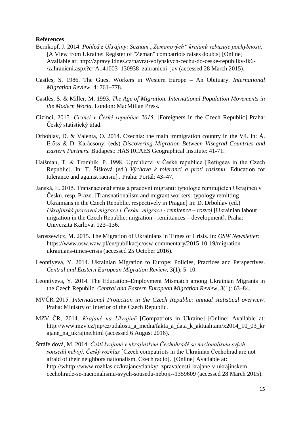#### <span id="page-14-0"></span>**References**

- Bernkopf, J. 2014. Pohled z Ukrajiny: Seznam "Zemanových" krajanů vzbuzuje pochybnosti. [A View from Ukraine: Register of "Zeman" compatriots raises doubts] [Online] Available at: http://zpravy.idnes.cz/navrat-volynskych-cechu-do-ceske-republiky-fk6- /zahranicni.aspx?c=A141003\_130938\_zahranicni\_jav (accessed 28 March 2015).
- Castles, S. 1986. The Guest Workers in Western Europe An Obituary. *International Migration Review*, 4: 761–778.
- Castles, S. & Miller, M. 1993. *The Age of Migration. International Population Movements in the Modern World.* London: MacMillan Press.
- Cizinci, 2015. *Cizinci v České republice 2015.* [Foreigners in the Czech Republic] Praha: Český statistický úřad.
- Drbohlav, D. & Valenta, O. 2014. Czechia: the main immigration country in the V4. In: Á. Erőss & D. Karácsonyi (eds) *Discovering Migration Between Visegrad Countries and Eastern Partners.* Budapest: HAS RCAES Geographical Institute: 41-71.
- Haišman, T. & Trombík, P. 1998. Uprchlictví v České republice [Refugees in the Czech Republic]. In: T. Šišková (ed.) *Výchova k toleranci a proti rasismu* [Education for tolerance and against racism] *.* Praha: Portál: 43–47.
- Janská, E. 2015. Transnacionalismus a pracovní migranti: typologie remitujících Ukrajinců v Česku, resp. Praze. [Transnationalism and migrant workers: typology remitting Ukrainians in the Czech Republic, respectively in Prague] In: D. Drbohlav (ed.) *Ukrajinská pracovní migrace v Česku: migrace - remitence – rozvoj* [Ukrainian labour migration in the Czech Republic: migration - remittances – development]*.* Praha: Univerzita Karlova: 123–136.
- Jaroszewicz, M. 2015. The Migration of Ukrainians in Times of Crisis. In: *OSW Newsletter*: https://www.osw.waw.pl/en/publikacje/osw-commentary/2015-10-19/migrationukrainians-times-crisis (accessed 25 October 2016).
- Leontiyeva, Y. 2014. Ukrainian Migration to Europe: Policies, Practices and Perspectives. *Central and Eastern European Migration Review,* 3(1): 5–10.
- Leontiyeva, Y. 2014. The Education–Employment Mismatch among Ukrainian Migrants in the Czech Republic. *Central and Eastern European Migration Review*, 3(1): 63–84.
- MVČR 2015. *International Protection in the Czech Republic: annual statistical overview.*  Praha: Ministry of Interior of the Czech Republic.
- MZV ČR, 2014. *Krajané na Ukrajině* [Compatriots in Ukraine] [Online] Available at: http://www.mzv.cz/jnp/cz/udalosti\_a\_media/fakta\_a\_data\_k\_aktualitam/x2014\_10\_03\_kr ajane\_na\_ukrajine.html (accessed 6 August 2016).
- Štráfeldová, M. 2014. *Čeští krajané v ukrajinském Čechohradě se nacionalismu svých sousedů nebojí. Český rozhlas* [Czech compatriots in the Ukrainian Čechohrad are not afraid of their neighbors nationalism. Czech radio]. [Online] Available at: http://whttp://www.rozhlas.cz/krajane/clanky/\_zprava/cesti-krajane-v-ukrajinskemcechohrade-se-nacionalismu-svych-sousedu-neboji--1359609 (accessed 28 March 2015).